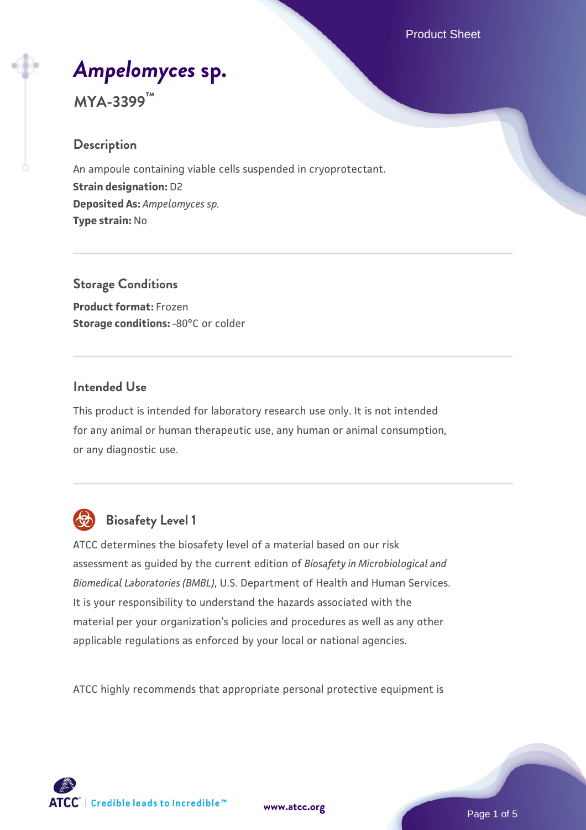Product Sheet

# *[Ampelomyces](https://www.atcc.org/products/mya-3399)* **[sp.](https://www.atcc.org/products/mya-3399)**

**MYA-3399™**

#### **Description**

An ampoule containing viable cells suspended in cryoprotectant. **Strain designation:** D2 **Deposited As:** *Ampelomyces sp.* **Type strain:** No

**Storage Conditions Product format:** Frozen **Storage conditions: -80°C or colder** 

#### **Intended Use**

This product is intended for laboratory research use only. It is not intended for any animal or human therapeutic use, any human or animal consumption, or any diagnostic use.



## **Biosafety Level 1**

ATCC determines the biosafety level of a material based on our risk assessment as guided by the current edition of *Biosafety in Microbiological and Biomedical Laboratories (BMBL)*, U.S. Department of Health and Human Services. It is your responsibility to understand the hazards associated with the material per your organization's policies and procedures as well as any other applicable regulations as enforced by your local or national agencies.

ATCC highly recommends that appropriate personal protective equipment is

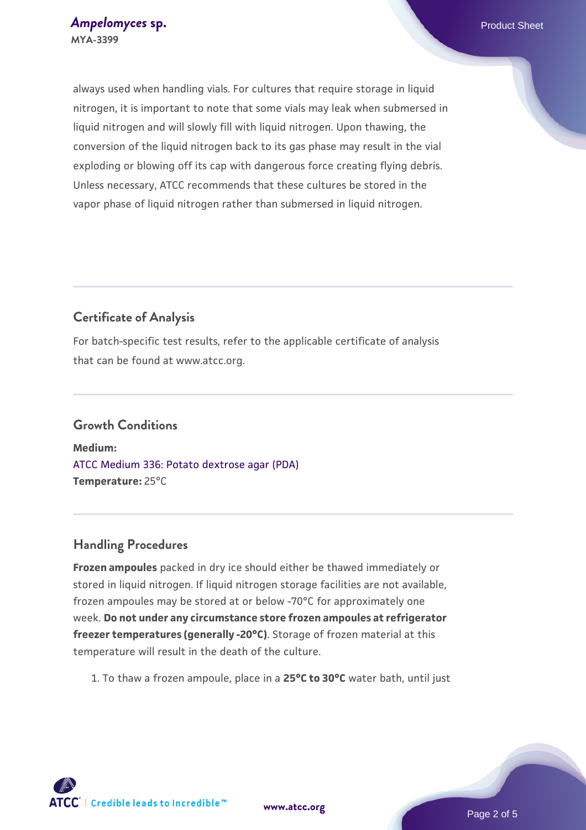always used when handling vials. For cultures that require storage in liquid nitrogen, it is important to note that some vials may leak when submersed in liquid nitrogen and will slowly fill with liquid nitrogen. Upon thawing, the conversion of the liquid nitrogen back to its gas phase may result in the vial exploding or blowing off its cap with dangerous force creating flying debris. Unless necessary, ATCC recommends that these cultures be stored in the vapor phase of liquid nitrogen rather than submersed in liquid nitrogen.

### **Certificate of Analysis**

For batch-specific test results, refer to the applicable certificate of analysis that can be found at www.atcc.org.

## **Growth Conditions**

**Medium:**  [ATCC Medium 336: Potato dextrose agar \(PDA\)](https://www.atcc.org/-/media/product-assets/documents/microbial-media-formulations/3/3/6/atcc-medium-336.pdf?rev=d9160ad44d934cd8b65175461abbf3b9) **Temperature:** 25°C

#### **Handling Procedures**

**Frozen ampoules** packed in dry ice should either be thawed immediately or stored in liquid nitrogen. If liquid nitrogen storage facilities are not available, frozen ampoules may be stored at or below -70°C for approximately one week. **Do not under any circumstance store frozen ampoules at refrigerator freezer temperatures (generally -20°C)**. Storage of frozen material at this temperature will result in the death of the culture.

1. To thaw a frozen ampoule, place in a **25°C to 30°C** water bath, until just

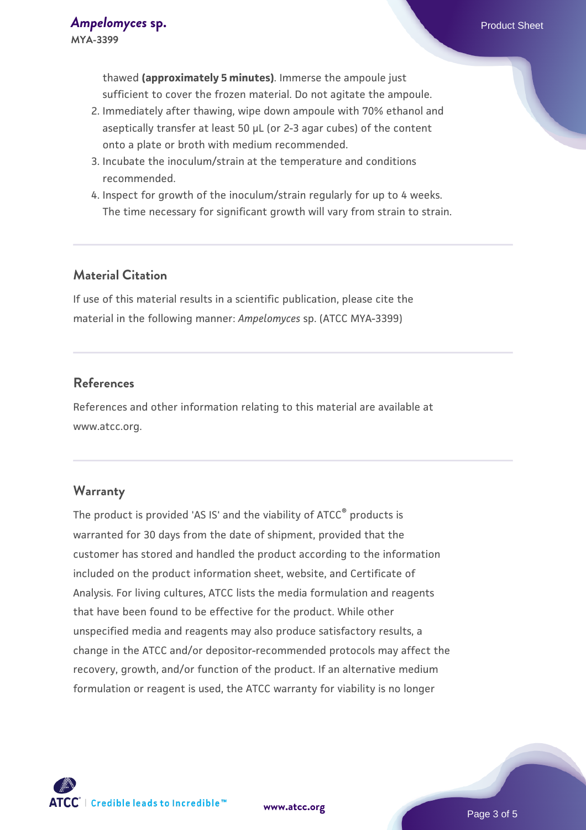- 2. Immediately after thawing, wipe down ampoule with 70% ethanol and aseptically transfer at least 50 µL (or 2-3 agar cubes) of the content onto a plate or broth with medium recommended.
- 3. Incubate the inoculum/strain at the temperature and conditions recommended.
- 4. Inspect for growth of the inoculum/strain regularly for up to 4 weeks. The time necessary for significant growth will vary from strain to strain.

#### **Material Citation**

If use of this material results in a scientific publication, please cite the material in the following manner: *Ampelomyces* sp. (ATCC MYA-3399)

### **References**

References and other information relating to this material are available at www.atcc.org.

#### **Warranty**

The product is provided 'AS IS' and the viability of ATCC® products is warranted for 30 days from the date of shipment, provided that the customer has stored and handled the product according to the information included on the product information sheet, website, and Certificate of Analysis. For living cultures, ATCC lists the media formulation and reagents that have been found to be effective for the product. While other unspecified media and reagents may also produce satisfactory results, a change in the ATCC and/or depositor-recommended protocols may affect the recovery, growth, and/or function of the product. If an alternative medium formulation or reagent is used, the ATCC warranty for viability is no longer

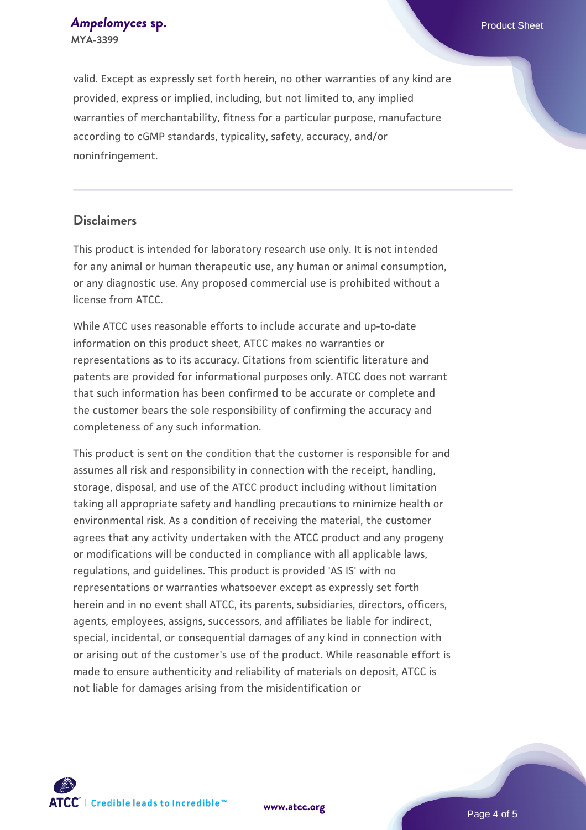*[Ampelomyces](https://www.atcc.org/products/mya-3399)* **[sp.](https://www.atcc.org/products/mya-3399)** *Ampelomyces* sp. **MYA-3399**

valid. Except as expressly set forth herein, no other warranties of any kind are provided, express or implied, including, but not limited to, any implied warranties of merchantability, fitness for a particular purpose, manufacture according to cGMP standards, typicality, safety, accuracy, and/or noninfringement.

#### **Disclaimers**

This product is intended for laboratory research use only. It is not intended for any animal or human therapeutic use, any human or animal consumption, or any diagnostic use. Any proposed commercial use is prohibited without a license from ATCC.

While ATCC uses reasonable efforts to include accurate and up-to-date information on this product sheet, ATCC makes no warranties or representations as to its accuracy. Citations from scientific literature and patents are provided for informational purposes only. ATCC does not warrant that such information has been confirmed to be accurate or complete and the customer bears the sole responsibility of confirming the accuracy and completeness of any such information.

This product is sent on the condition that the customer is responsible for and assumes all risk and responsibility in connection with the receipt, handling, storage, disposal, and use of the ATCC product including without limitation taking all appropriate safety and handling precautions to minimize health or environmental risk. As a condition of receiving the material, the customer agrees that any activity undertaken with the ATCC product and any progeny or modifications will be conducted in compliance with all applicable laws, regulations, and guidelines. This product is provided 'AS IS' with no representations or warranties whatsoever except as expressly set forth herein and in no event shall ATCC, its parents, subsidiaries, directors, officers, agents, employees, assigns, successors, and affiliates be liable for indirect, special, incidental, or consequential damages of any kind in connection with or arising out of the customer's use of the product. While reasonable effort is made to ensure authenticity and reliability of materials on deposit, ATCC is not liable for damages arising from the misidentification or



**[www.atcc.org](http://www.atcc.org)**

Page 4 of 5